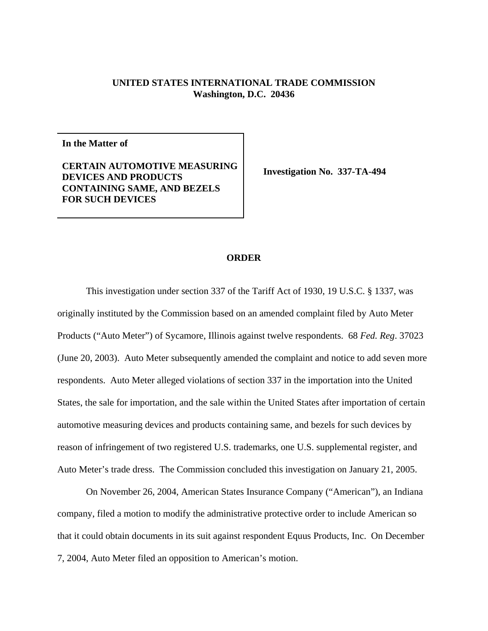## **UNITED STATES INTERNATIONAL TRADE COMMISSION Washington, D.C. 20436**

**In the Matter of**

## **CERTAIN AUTOMOTIVE MEASURING DEVICES AND PRODUCTS CONTAINING SAME, AND BEZELS FOR SUCH DEVICES**

**Investigation No. 337-TA-494**

## **ORDER**

This investigation under section 337 of the Tariff Act of 1930, 19 U.S.C. § 1337, was originally instituted by the Commission based on an amended complaint filed by Auto Meter Products ("Auto Meter") of Sycamore, Illinois against twelve respondents. 68 *Fed. Reg*. 37023 (June 20, 2003). Auto Meter subsequently amended the complaint and notice to add seven more respondents. Auto Meter alleged violations of section 337 in the importation into the United States, the sale for importation, and the sale within the United States after importation of certain automotive measuring devices and products containing same, and bezels for such devices by reason of infringement of two registered U.S. trademarks, one U.S. supplemental register, and Auto Meter's trade dress. The Commission concluded this investigation on January 21, 2005.

On November 26, 2004, American States Insurance Company ("American"), an Indiana company, filed a motion to modify the administrative protective order to include American so that it could obtain documents in its suit against respondent Equus Products, Inc. On December 7, 2004, Auto Meter filed an opposition to American's motion.